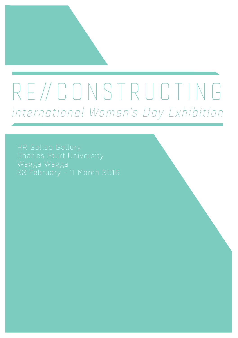# R E // C O N S T R U C T I N G International Women's Day Exhibition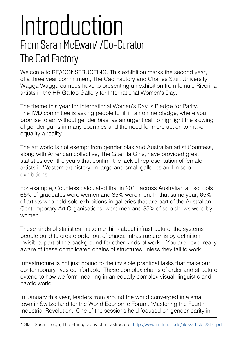## Introduction From Sarah McEwan/ /Co-Curator The Cad Factory

Welcome to RE//CONSTRUCTING. This exhibition marks the second year. of a three year commitment, The Cad Factory and Charles Sturt University, Wagga Wagga campus have to presenting an exhibition from female Riverina artists in the HR Gallop Gallery for International Women's Day.

The theme this year for International Women's Day is Pledge for Parity. The IWD committee is asking people to fill in an online pledge, where you promise to act without gender bias, as an urgent call to highlight the slowing of gender gains in many countries and the need for more action to make equality a reality.

The art world is not exempt from gender bias and Australian artist Countess, along with American collective, The Guerilla Girls, have provided great statistics over the years that confirm the lack of representation of female artists in Western art history, in large and small galleries and in solo exhibitions.

For example, Countess calculated that in 2011 across Australian art schools 65% of graduates were women and 35% were men. In that same year, 65% of artists who held solo exhibitions in galleries that are part of the Australian Contemporary Art Organisations, were men and 35% of solo shows were by women.

These kinds of statistics make me think about infrastructure; the systems people build to create order out of chaos. Infrastructure 'is by definition invisible, part of the background for other kinds of work.'<sup>1</sup> You are never really aware of these complicated chains of structures unless they fail to work.

Infrastructure is not just bound to the invisible practical tasks that make our contemporary lives comfortable. These complex chains of order and structure extend to how we form meaning in an equally complex visual, linguistic and haptic world.

In January this year, leaders from around the world converged in a small town in Switzerland for the World Economic Forum, 'Mastering the Fourth Industrial Revolution.' One of the sessions held focused on gender parity in

1 Star, Susan Leigh, The Ethnography of Infrastructure, <http://www.imtfi.uci.edu/files/articles/Star.pdf>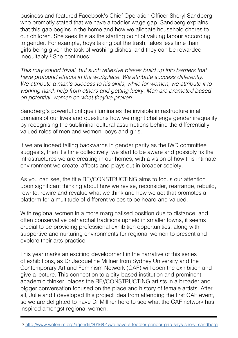business and featured Facebook's Chief Operation Officer Sheryl Sandberg, who promptly stated that we have a toddler wage gap. Sandberg explains that this gap begins in the home and how we allocate household chores to our children. She sees this as the starting point of valuing labour according to gender. For example, boys taking out the trash, takes less time than girls being given the task of washing dishes, and they can be rewarded inequitably.2 She continues:

This may sound trivial, but such reflexive biases build up into barriers that have profound effects in the workplace. We attribute success differently. We attribute a man's success to his skills, while for women, we attribute it to working hard, help from others and getting lucky. Men are promoted based on potential, women on what they've proven.

Sandberg's powerful critique illuminates the invisible infrastructure in all domains of our lives and questions how we might challenge gender inequality by recognising the subliminal cultural assumptions behind the differentially valued roles of men and women, boys and girls.

If we are indeed falling backwards in gender parity as the IWD committee suggests, then it's time collectively, we start to be aware and possibly fix the infrastructures we are creating in our homes, with a vision of how this intimate environment we create, affects and plays out in broader society.

As you can see, the title RE//CONSTRUCTING aims to focus our attention upon significant thinking about how we revise, reconsider, rearrange, rebuild, rewrite, rewire and revalue what we think and how we act that promotes a platform for a multitude of different voices to be heard and valued.

With regional women in a more marginalised position due to distance, and often conservative patriarchal traditions upheld in smaller towns, it seems crucial to be providing professional exhibition opportunities, along with supportive and nurturing environments for regional women to present and explore their arts practice.

This year marks an exciting development in the narrative of this series of exhibitions, as Dr Jacqueline Millner from Sydney University and the Contemporary Art and Feminism Network (CAF) will open the exhibition and give a lecture. This connection to a city-based institution and prominent academic thinker, places the RE//CONSTRUCTING artists in a broader and bigger conversation focused on the place and history of female artists. After all, Julie and I developed this project idea from attending the first CAF event, so we are delighted to have Dr Millner here to see what the CAF network has inspired amongst regional women.

 <sup>2</sup> <http://www.weforum.org/agenda/2016/01/we-have-a-toddler-gender-gap-says-sheryl-sandberg>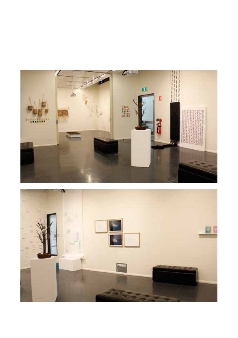

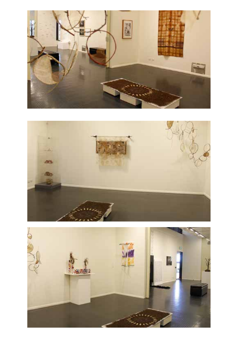



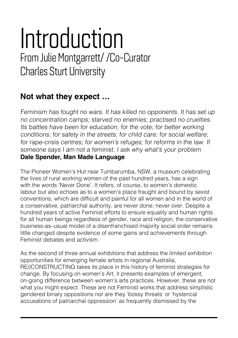## Introduction From Julie Montgarrett/ /Co-Curator Charles Sturt University

### **Not what they expect …**

Feminism has fought no wars. It has killed no opponents. It has set up no concentration camps; starved no enemies; practised no cruelties. Its battles have been for education; for the vote; for better working conditions; for safety in the streets; for child care; for social welfare; for rape-crisis centres; for women's refuges; for reforms in the law. If someone says I am not a feminist. I ask why what's your problem **Dale Spender, Man Made Language**

The Pioneer Women's Hut near Tumbarumba, NSW, a museum celebrating the lives of rural working women of the past hundred years, has a sign with the words 'Never Done'. It refers, of course, to women's domestic labour but also echoes as to a women's place fraught and bound by sexist conventions, which are difficult and painful for all women and in the world of a conservative, patriarchal authority, are never done; never over. Despite a hundred years of active Feminist efforts to ensure equality and human rights for all human beings regardless of gender, race and religion, the conservative business-as–usual model of a disenfranchised majority social order remains little changed despite evidence of some gains and achievements through Feminist debates and activism.

As the second of three annual exhibitions that address the limited exhibition opportunities for emerging female artists in regional Australia, RE//CONSTRUCTING takes its place in this history of feminist strategies for change. By focusing on women's Art, it presents examples of emergent, on-going difference between women's arts practices. However, these are not what you might expect. These are not Feminist works that address simplistic gendered binary oppositions nor are they 'bossy threats' or 'hysterical accusations of patriarchal oppression' as frequently dismissed by the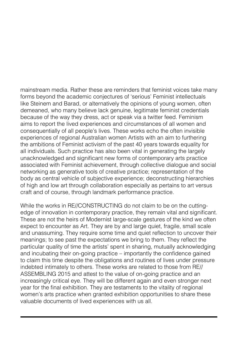mainstream media. Rather these are reminders that feminist voices take many forms beyond the academic conjectures of 'serious' Feminist intellectuals like Steinem and Barad, or alternatively the opinions of young women, often demeaned, who many believe lack genuine, legitimate feminist credentials because of the way they dress, act or speak via a twitter feed. Feminism aims to report the lived experiences and circumstances of all women and consequentially of all people's lives. These works echo the often invisible experiences of regional Australian women Artists with an aim to furthering the ambitions of Feminist activism of the past 40 years towards equality for all individuals. Such practice has also been vital in generating the largely unacknowledged and significant new forms of contemporary arts practice associated with Feminist achievement, through collective dialogue and social networking as generative tools of creative practice; representation of the body as central vehicle of subjective experience; deconstructing hierarchies of high and low art through collaboration especially as pertains to art versus craft and of course, through landmark performance practice.

While the works in RE//CONSTRUCTING do not claim to be on the cuttingedge of innovation in contemporary practice, they remain vital and significant. These are not the heirs of Modernist large-scale gestures of the kind we often expect to encounter as Art. They are by and large quiet, fragile, small scale and unassuming. They require some time and quiet reflection to uncover their meanings; to see past the expectations we bring to them. They reflect the particular quality of time the artists' spent in sharing, mutually acknowledging and incubating their on-going practice – importantly the confidence gained to claim this time despite the obligations and routines of lives under pressure indebted intimately to others. These works are related to those from RE// ASSEMBLING 2015 and attest to the value of on-going practice and an increasingly critical eye. They will be different again and even stronger next year for the final exhibition. They are testaments to the vitality of regional women's arts practice when granted exhibition opportunities to share these valuable documents of lived experiences with us all.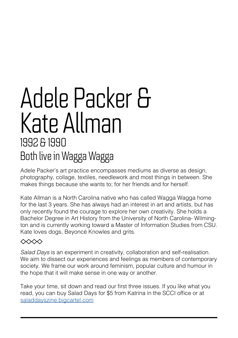# Adele Packer & Kate Allman 1992 & 1990 Both live in Wagga Wagga

Adele Packer's art practice encompasses mediums as diverse as design, photography, collage, textiles, needlework and most things in between. She makes things because she wants to; for her friends and for herself.

Kate Allman is a North Carolina native who has called Wagga Wagga home for the last 3 years. She has always had an interest in art and artists, but has only recently found the courage to explore her own creativity. She holds a Bachelor Degree in Art History from the University of North Carolina- Wilmington and is currently working toward a Master of Information Studies from CSU. Kate loves dogs, Beyoncé Knowles and grits.

#### $\left\langle \!\! \left\langle \right. \!\! \left\langle \right. \right. \!\! \left\langle \right. \right. \!\! \left\langle \right. \right. \!\! \left\langle \right. \left. \right. \!\! \left\langle \right. \right. \!\! \left\langle \left. \right. \right. \left\langle \right. \right. \!\! \left\langle \left. \right. \right. \left\langle \right. \right. \left. \left\langle \left. \right. \right. \right. \left\langle \left. \right. \right. \left. \right. \left\langle \left. \right. \right. \right. \left\langle \left. \right. \right. \right. \left\langle \left. \right. \right. \left.$

*Salad Days* is an experiment in creativity, collaboration and self-realisation. We aim to dissect our experiences and feelings as members of contemporary society. We frame our work around feminism, popular culture and humour in the hope that it will make sense in one way or another.

Take your time, sit down and read our first three issues. If you like what you read, you can buy Salad Days for \$5 from Katrina in the SCCI office or at [saladdayszine.bigcartel.com](http://saladdayszine.bigcartel.com )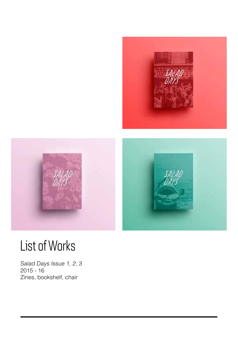



Salad Days Issue 1, 2, 3 2015 - 16 Zines, bookshelf, chair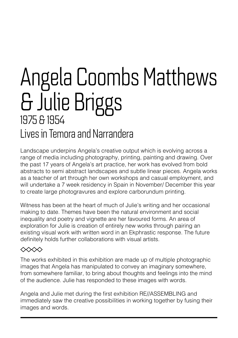## Angela Coombs Matthews & Julie Briggs 1975 & 1954 Lives in Temora and Narrandera

Landscape underpins Angela's creative output which is evolving across a range of media including photography, printing, painting and drawing. Over the past 17 years of Angela's art practice, her work has evolved from bold abstracts to semi abstract landscapes and subtle linear pieces. Angela works as a teacher of art through her own workshops and casual employment, and will undertake a 7 week residency in Spain in November/ December this year to create large photogravures and explore carborundum printing.

Witness has been at the heart of much of Julie's writing and her occasional making to date. Themes have been the natural environment and social inequality and poetry and vignette are her favoured forms. An area of exploration for Julie is creation of entirely new works through pairing an existing visual work with written word in an Ekphrastic response. The future definitely holds further collaborations with visual artists.

#### 

The works exhibited in this exhibition are made up of multiple photographic images that Angela has manipulated to convey an imaginary somewhere, from somewhere familiar, to bring about thoughts and feelings into the mind of the audience. Julie has responded to these images with words.

Angela and Julie met during the first exhibition RE//ASSEMBLING and immediately saw the creative possibilities in working together by fusing their images and words.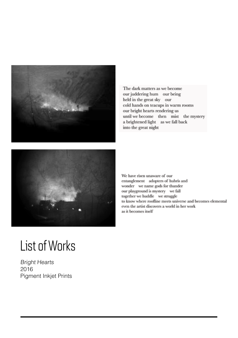

The dark matters as we become our juddering hum our being held in the great sky our cold hands on teacups in warm rooms our bright hearts rendering us until we become then mist the mystery a brightened light as we fall back into the great night



We have risen unaware of our entanglement adopters of hubris and wonder we name gods for thunder our playground is mystery we fall together we huddle we struggle to know where roofline meets universe and becomes elemental even the artist discovers a world in her work as it becomes itself

### List of Works

Bright Hearts 2016 Pigment Inkjet Prints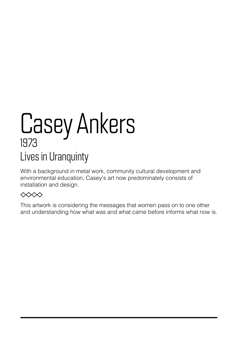## Casey Ankers 1973 Lives in Uranquinty

With a background in metal work, community cultural development and environmental education, Casey's art now predominately consists of installation and design.

#### 

This artwork is considering the messages that women pass on to one other and understanding how what was and what came before informs what now is.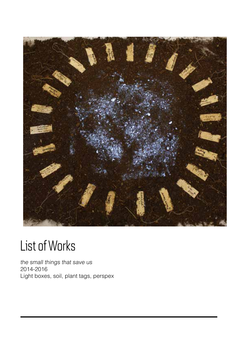

the small things that save us 2014-2016 Light boxes, soil, plant tags, perspex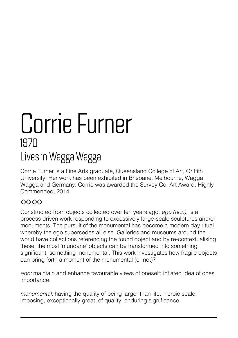## Corrie Furner 1970 Lives in Wagga Wagga

Corrie Furner is a Fine Arts graduate, Queensland College of Art, Griffith University. Her work has been exhibited in Brisbane, Melbourne, Wagga Wagga and Germany. Corrie was awarded the Survey Co. Art Award, Highly Commended, 2014.

#### 

Constructed from objects collected over ten years ago, ego (non), is a process driven work responding to excessively large-scale sculptures and/or monuments. The pursuit of the monumental has become a modern day ritual whereby the ego supersedes all else. Galleries and museums around the world have collections referencing the found object and by re-contextualising these, the most 'mundane' objects can be transformed into something significant, something monumental. This work investigates how fragile objects can bring forth a moment of the monumental (or not)?

ego: maintain and enhance favourable views of oneself; inflated idea of ones importance.

monumental: having the quality of being larger than life, heroic scale, imposing, exceptionally great, of quality, enduring significance.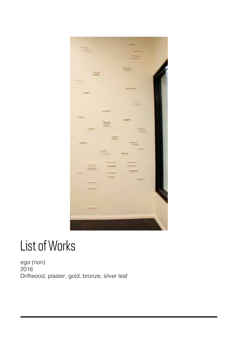

ego (non) 2016 Driftwood, plaster, gold, bronze, silver leaf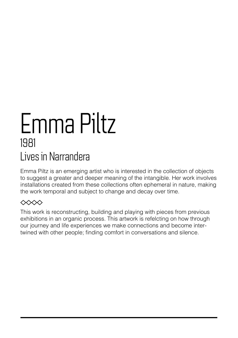## Emma Piltz 1981 Lives in Narrandera

Emma Piltz is an emerging artist who is interested in the collection of objects to suggest a greater and deeper meaning of the intangible. Her work involves installations created from these collections often ephemeral in nature, making the work temporal and subject to change and decay over time.

#### 

This work is reconstructing, building and playing with pieces from previous exhibitions in an organic process. This artwork is refelcting on how through our journey and life experiences we make connections and become intertwined with other people; finding comfort in conversations and silence.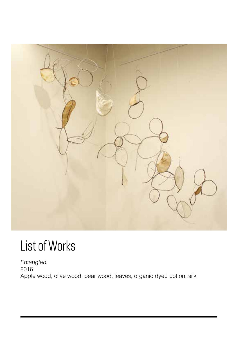

Entangled 2016 Apple wood, olive wood, pear wood, leaves, organic dyed cotton, silk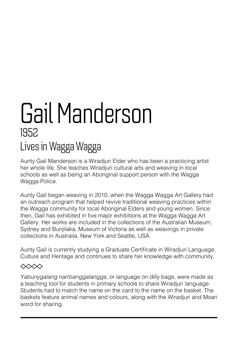## Gail Manderson 1952 Lives in Wagga Wagga

Aunty Gail Manderson is a Wiradjuri Elder who has been a practicing artist her whole life. She teaches Wiradjuri cultural arts and weaving in local schools as well as being an Aboriginal support person with the Wagga Wagga Police.

Aunty Gail began weaving in 2010, when the Wagga Wagga Art Gallery had an outreach program that helped revive traditional weaving practices within the Wagga community for local Aboriginal Elders and young women. Since then, Gail has exhibited in five major exhibitions at the Wagga Wagga Art Gallery. Her works are included in the collections of the Australian Museum, Sydney and Bunjilaka, Museum of Victoria as well as weavings in private collections in Australia, New York and Seattle, USA.

Aunty Gail is currently studying a Graduate Certificate in Wiradjuri Language, Culture and Heritage and continues to share her knowledge with community.

#### 

Yabunygalang narrbanggalangga, or language on dilly bags, were made as a teaching tool for students in primary schools to share Wiradjuri language. Students had to match the name on the card to the name on the basket. The baskets feature animal names and colours, along with the Wiradjuri and Moari word for sharing.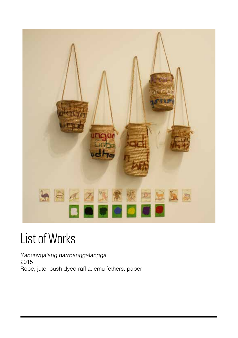

Yabunygalang narrbanggalangga 2015 Rope, jute, bush dyed raffia, emu fethers, paper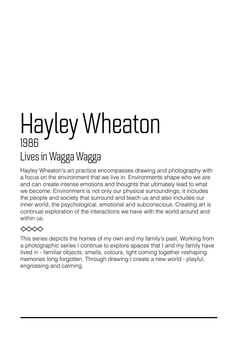## Hayley Wheaton 1986 Lives in Wagga Wagga

Hayley Wheaton's art practice encompasses drawing and photography with a focus on the environment that we live in. Environments shape who we are and can create intense emotions and thoughts that ultimately lead to what we become. Environment is not only our physical surroundings; it includes the people and society that surround and teach us and also includes our inner world, the psychological, emotional and subconscious. Creating art is continual exploration of the interactions we have with the world around and within us.

#### 

This series depicts the homes of my own and my family's past. Working from a photographic series I continue to explore spaces that I and my family have lived in - familiar objects, smells, colours, light coming together reshaping memories long forgotten. Through drawing I create a new world - playful, engrossing and calming.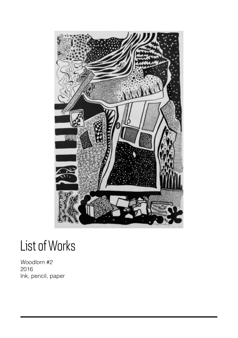

Woodlorn #2 2016 Ink, pencil, paper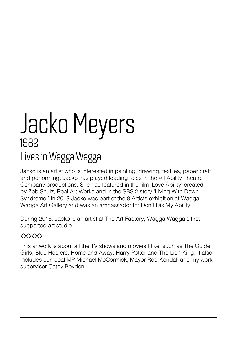## Jacko Meyers 1982 Lives in Wagga Wagga

Jacko is an artist who is interested in painting, drawing, textiles, paper craft and performing. Jacko has played leading roles in the All Ability Theatre Company productions. She has featured in the film 'Love Ability' created by Zeb Shulz, Real Art Works and in the SBS 2 story 'Living With Down Syndrome.' In 2013 Jacko was part of the 8 Artists exhibition at Wagga Wagga Art Gallery and was an ambassador for Don't Dis My Ability.

During 2016, Jacko is an artist at The Art Factory; Wagga Wagga's first supported art studio



This artwork is about all the TV shows and movies I like, such as The Golden Girls, Blue Heelers, Home and Away, Harry Potter and The Lion King. It also includes our local MP Michael McCormick, Mayor Rod Kendall and my work supervisor Cathy Boydon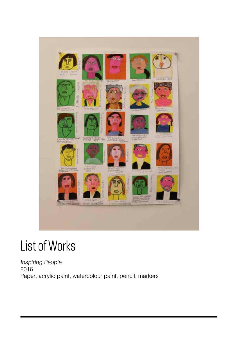

Inspiring People 2016 Paper, acrylic paint, watercolour paint, pencil, markers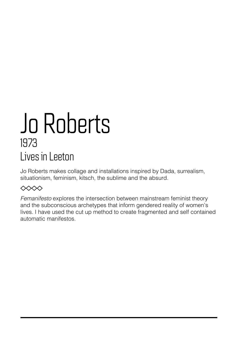## Jo Roberts 1973 Lives in Leeton

Jo Roberts makes collage and installations inspired by Dada, surrealism, situationism, feminism, kitsch, the sublime and the absurd.

### $\otimes \otimes \otimes$

Femanifesto explores the intersection between mainstream feminist theory and the subconscious archetypes that inform gendered reality of women's lives. I have used the cut up method to create fragmented and self contained automatic manifestos.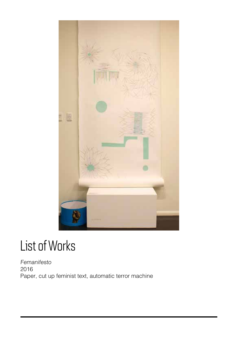

Femanifesto 2016 Paper, cut up feminist text, automatic terror machine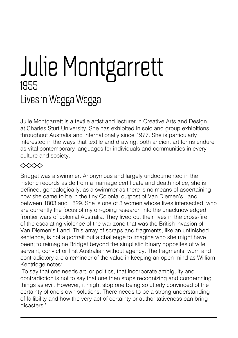## Julie Montgarrett 1955 Lives in Wagga Wagga

Julie Montgarrett is a textile artist and lecturer in Creative Arts and Design at Charles Sturt University. She has exhibited in solo and group exhibitions throughout Australia and internationally since 1977. She is particularly interested in the ways that textile and drawing, both ancient art forms endure as vital contemporary languages for individuals and communities in every culture and society.

#### 

Bridget was a swimmer. Anonymous and largely undocumented in the historic records aside from a marriage certificate and death notice, she is defined, genealogically, as a swimmer as there is no means of ascertaining how she came to be in the tiny Colonial outpost of Van Diemen's Land between 1803 and 1829. She is one of 3 women whose lives intersected, who are currently the focus of my on-going research into the unacknowledged frontier wars of colonial Australia. They lived out their lives in the cross-fire of the escalating violence of the war zone that was the British invasion of Van Diemen's Land. This array of scraps and fragments, like an unfinished sentence, is not a portrait but a challenge to imagine who she might have been; to reimagine Bridget beyond the simplistic binary opposites of wife, servant, convict or first Australian without agency. The fragments, worn and contradictory are a reminder of the value in keeping an open mind as William Kentridge notes:

'To say that one needs art, or politics, that incorporate ambiguity and contradiction is not to say that one then stops recognizing and condemning things as evil. However, it might stop one being so utterly convinced of the certainty of one's own solutions. There needs to be a strong understanding of fallibility and how the very act of certainty or authoritativeness can bring disasters.'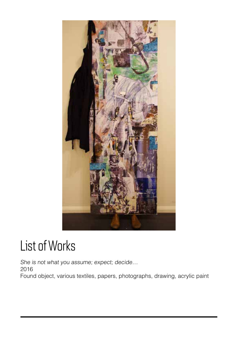

She is not what you assume; expect; decide… 2016 Found object, various textiles, papers, photographs, drawing, acrylic paint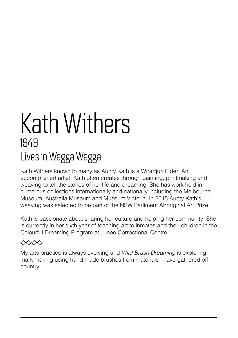## Kath Withers 1949 Lives in Wagga Wagga

Kath Withers known to many as Aunty Kath is a Wiradjuri Elder. An accomplished artist, Kath often creates through painting, printmaking and weaving to tell the stories of her life and dreaming. She has work held in numerous collections internationally and nationally including the Melbourne Museum, Australia Museum and Museum Victoria. In 2015 Aunty Kath's weaving was selected to be part of the NSW Parliment Aboriginal Art Prize.

Kath is passionate about sharing her culture and helping her community. She is currently in her sixth year of teaching art to inmates and their children in the Colourful Dreaming Program at Junee Correctional Centre.

#### 

My arts practice is always evolving and Wild Brush Dreaming is exploring mark making using hand made brushes from materials I have gathered off country.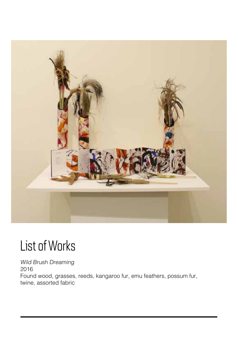

Wild Brush Dreaming 2016 Found wood, grasses, reeds, kangaroo fur, emu feathers, possum fur, twine, assorted fabric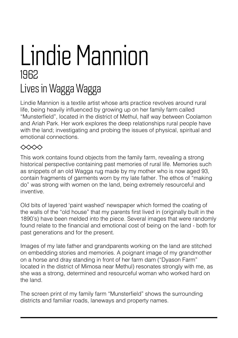## Lindie Mannion 1962 Lives in Wagga Wagga

Lindie Mannion is a textile artist whose arts practice revolves around rural life, being heavily influenced by growing up on her family farm called "Munsterfield", located in the district of Methul, half way between Coolamon and Ariah Park. Her work explores the deep relationships rural people have with the land; investigating and probing the issues of physical, spiritual and emotional connections.

#### 

This work contains found objects from the family farm, revealing a strong historical perspective containing past memories of rural life. Memories such as snippets of an old Wagga rug made by my mother who is now aged 93, contain fragments of garments worn by my late father. The ethos of "making do" was strong with women on the land, being extremely resourceful and inventive.

Old bits of layered 'paint washed' newspaper which formed the coating of the walls of the "old house" that my parents first lived in (originally built in the 1890's) have been melded into the piece. Several images that were randomly found relate to the financial and emotional cost of being on the land - both for past generations and for the present.

Images of my late father and grandparents working on the land are stitched on embedding stories and memories. A poignant image of my grandmother on a horse and dray standing in front of her farm dam ("Dyason Farm" located in the district of Mimosa near Methul) resonates strongly with me, as she was a strong, determined and resourceful woman who worked hard on the land.

The screen print of my family farm "Munsterfield" shows the surrounding districts and familiar roads, laneways and property names.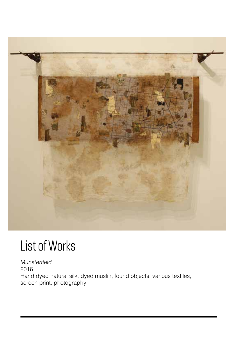

Munsterfield 2016 Hand dyed natural silk, dyed muslin, found objects, various textiles, screen print, photography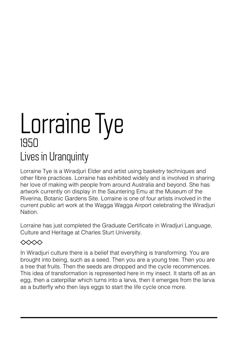## Lorraine Tye 1950 Lives in Uranquinty

Lorraine Tye is a Wiradjuri Elder and artist using basketry techniques and other fibre practices. Lorraine has exhibited widely and is involved in sharing her love of making with people from around Australia and beyond. She has artwork currently on display in the Sauntering Emu at the Museum of the Riverina, Botanic Gardens Site. Lorraine is one of four artists involved in the current public art work at the Wagga Wagga Airport celebrating the Wiradjuri Nation.

Lorraine has just completed the Graduate Certificate in Wiradjuri Language, Culture and Heritage at Charles Sturt University.

#### $\diamond\!\!\!\!\sim\!\!\!\!\sim\!\!\!\!\sim\!\!\!\!\sim\!\!\!\!\sim$

In Wiradjuri culture there is a belief that everything is transforming. You are brought into being, such as a seed. Then you are a young tree. Then you are a tree that fruits. Then the seeds are dropped and the cycle recommences. This idea of transformation is represented here in my insect. It starts off as an egg, then a caterpillar which turns into a larva, then it emerges from the larva as a butterfly who then lays eggs to start the life cycle once more.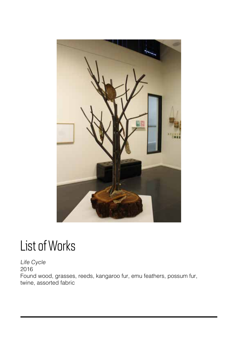

Life Cycle  $2016$ Found wood, grasses, reeds, kangaroo fur, emu feathers, possum fur, twine, assorted fabric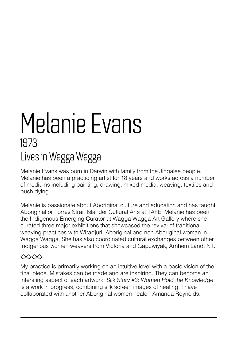## Melanie Evans 1973 Lives in Wagga Wagga

Melanie Evans was born in Darwin with family from the Jingalee people. Melanie has been a practicing artist for 18 years and works across a number of mediums including painting, drawing, mixed media, weaving, textiles and bush dying.

Melanie is passionate about Aboriginal culture and education and has taught Aboriginal or Torres Strait Islander Cultural Arts at TAFE. Melanie has been the Indigenous Emerging Curator at Wagga Wagga Art Gallery where she curated three major exhibitions that showcased the revival of traditional weaving practices with Wiradjuri, Aboriginal and non Aboriginal woman in Wagga Wagga. She has also coordinated cultural exchanges between other Indigenous women weavers from Victoria and Gapuwiyak, Arnhem Land, NT.

#### 

My practice is primarily working on an intuitive level with a basic vision of the final piece. Mistakes can be made and are inspiring. They can become an intersting aspect of each artwork. Silk Story #3: Women Hold the Knowledge is a work in progress, combining silk screen images of healing. I have collaborated with another Aboriginal women healer, Amanda Reynolds.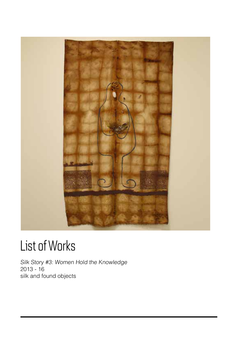

Silk Story #3: Women Hold the Knowledge 2013 - 16 silk and found objects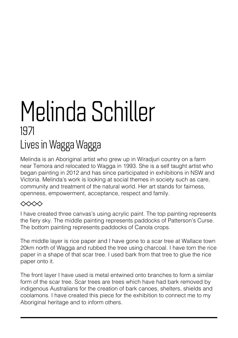## Melinda Schiller 1971 Lives in Wagga Wagga

Melinda is an Aboriginal artist who grew up in Wiradjuri country on a farm near Temora and relocated to Wagga in 1993. She is a self taught artist who began painting in 2012 and has since participated in exhibitions in NSW and Victoria. Melinda's work is looking at social themes in society such as care, community and treatment of the natural world. Her art stands for fairness, openness, empowerment, acceptance, respect and family.

#### 

I have created three canvas's using acrylic paint. The top painting represents the fiery sky. The middle painting represents paddocks of Patterson's Curse. The bottom painting represents paddocks of Canola crops.

The middle layer is rice paper and I have gone to a scar tree at Wallace town 20km north of Wagga and rubbed the tree using charcoal. I have torn the rice paper in a shape of that scar tree. I used bark from that tree to glue the rice paper onto it.

The front layer I have used is metal entwined onto branches to form a similar form of the scar tree. Scar trees are trees which have had bark removed by indigenous Australians for the creation of bark canoes, shelters, shields and coolamons. I have created this piece for the exhibition to connect me to my Aboriginal heritage and to inform others.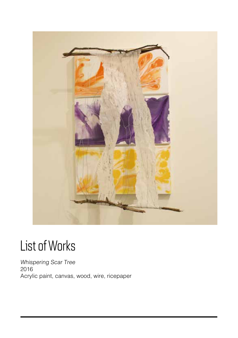

Whispering Scar Tree 2016 Acrylic paint, canvas, wood, wire, ricepaper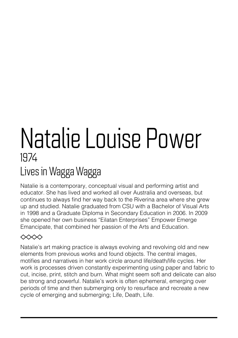## Natalie Louise Power 1974 Lives in Wagga Wagga

Natalie is a contemporary, conceptual visual and performing artist and educator. She has lived and worked all over Australia and overseas, but continues to always find her way back to the Riverina area where she grew up and studied. Natalie graduated from CSU with a Bachelor of Visual Arts in 1998 and a Graduate Diploma in Secondary Education in 2006. In 2009 she opened her own business "Eilatan Enterprises" Empower Emerge Emancipate, that combined her passion of the Arts and Education.

#### $\diamond\!\!\!\!\sim\!\!\!\!\sim\!\!\!\!\sim\!\!\!\!\sim\!\!\!\!\sim$

Natalie's art making practice is always evolving and revolving old and new elements from previous works and found objects. The central images, motifies and narratives in her work circle around life/death/life cycles. Her work is processes driven constantly experimenting using paper and fabric to cut, incise, print, stitch and burn. What might seem soft and delicate can also be strong and powerful. Natalie's work is often ephemeral, emerging over periods of time and then submerging only to resurface and recreate a new cycle of emerging and submerging; Life, Death, Life.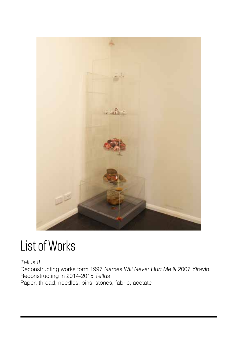

Tellus II Deconstructing works form 1997 Names Will Never Hurt Me & 2007 Yirayin. Reconstructing in 2014-2015 Tellus Paper, thread, needles, pins, stones, fabric, acetate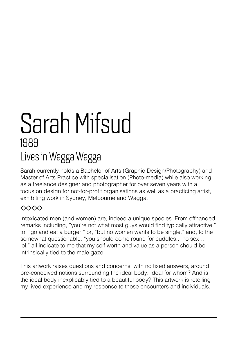## Sarah Mifsud 1989 Lives in Wagga Wagga

Sarah currently holds a Bachelor of Arts (Graphic Design/Photography) and Master of Arts Practice with specialisation (Photo-media) while also working as a freelance designer and photographer for over seven years with a focus on design for not-for-profit organisations as well as a practicing artist, exhibiting work in Sydney, Melbourne and Wagga.

#### $\rightsquigarrow \rightsquigarrow$

Intoxicated men (and women) are, indeed a unique species. From offhanded remarks including, "you're not what most guys would find typically attractive," to, "go and eat a burger," or, "but no women wants to be single," and, to the somewhat questionable, "you should come round for cuddles... no sex… lol," all indicate to me that my self worth and value as a person should be intrinsically tied to the male gaze.

This artwork raises questions and concerns, with no fixed answers, around pre-conceived notions surrounding the ideal body. Ideal for whom? And is the ideal body inexplicably tied to a beautiful body? This artwork is retelling my lived experience and my response to those encounters and individuals.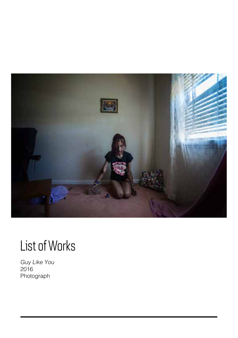

Guy Like You 2016 Photograph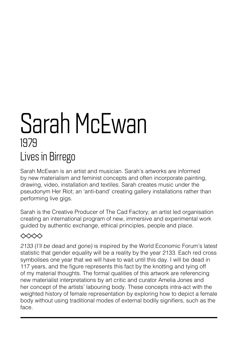## Sarah McEwan 1979 Lives in Birrego

Sarah McEwan is an artist and musician. Sarah's artworks are informed by new materialism and feminist concepts and often incorporate painting, drawing, video, installation and textiles. Sarah creates music under the pseudonym Her Riot; an 'anti-band' creating gallery installations rather than performing live gigs.

Sarah is the Creative Producer of The Cad Factory; an artist led organisation creating an international program of new, immersive and experimental work guided by authentic exchange, ethical principles, people and place.

#### $\diamond\!\!\!\!\diamond\!\!\!\!\diamond\!\!\!\!\diamond\!\!\!\!\diamond\!\!\!\!\diamond$

2133 (I'll be dead and gone) is inspired by the World Economic Forum's latest statistic that gender equality will be a reality by the year 2133. Each red cross symbolises one year that we will have to wait until this day. I will be dead in 117 years, and the figure represents this fact by the knotting and tying off of my material thoughts. The formal qualities of this artwork are referencing new materialist interpretations by art critic and curator Amelia Jones and her concept of the artists' labouring body. These concepts intra-act with the weighted history of female representation by exploring how to depict a female body without using traditional modes of external bodily signifiers, such as the face.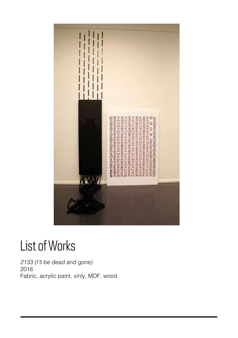

2133 (I'll be dead and gone) 2016 Fabric, acrylic paint, vinly, MDF, wood